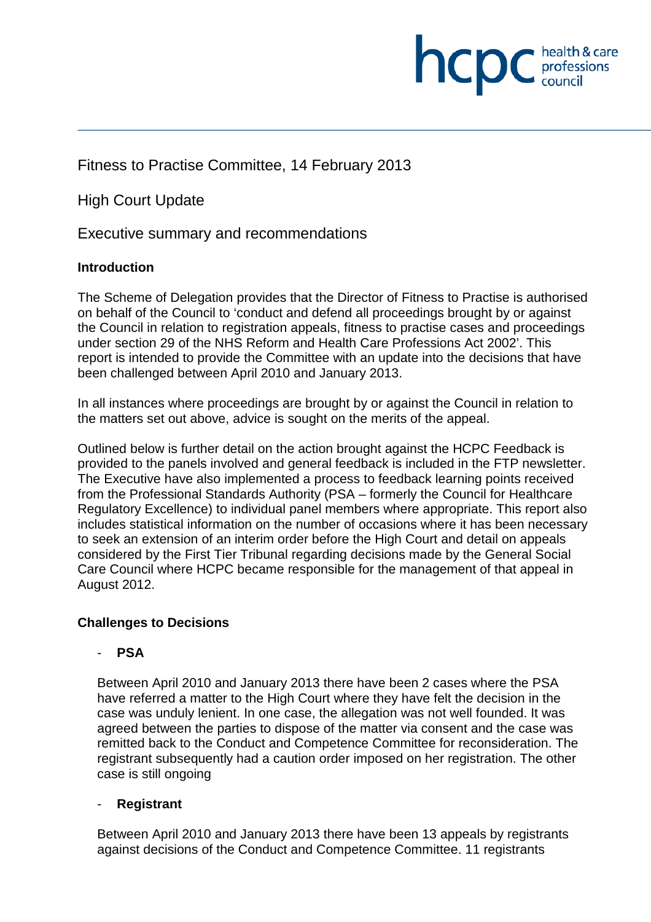

High Court Update

Executive summary and recommendations

# **Introduction**

The Scheme of Delegation provides that the Director of Fitness to Practise is authorised on behalf of the Council to 'conduct and defend all proceedings brought by or against the Council in relation to registration appeals, fitness to practise cases and proceedings under section 29 of the NHS Reform and Health Care Professions Act 2002'. This report is intended to provide the Committee with an update into the decisions that have been challenged between April 2010 and January 2013.

**NCDC** *health* & care

In all instances where proceedings are brought by or against the Council in relation to the matters set out above, advice is sought on the merits of the appeal.

Outlined below is further detail on the action brought against the HCPC Feedback is provided to the panels involved and general feedback is included in the FTP newsletter. The Executive have also implemented a process to feedback learning points received from the Professional Standards Authority (PSA – formerly the Council for Healthcare Regulatory Excellence) to individual panel members where appropriate. This report also includes statistical information on the number of occasions where it has been necessary to seek an extension of an interim order before the High Court and detail on appeals considered by the First Tier Tribunal regarding decisions made by the General Social Care Council where HCPC became responsible for the management of that appeal in August 2012.

# **Challenges to Decisions**

# - **PSA**

Between April 2010 and January 2013 there have been 2 cases where the PSA have referred a matter to the High Court where they have felt the decision in the case was unduly lenient. In one case, the allegation was not well founded. It was agreed between the parties to dispose of the matter via consent and the case was remitted back to the Conduct and Competence Committee for reconsideration. The registrant subsequently had a caution order imposed on her registration. The other case is still ongoing

# - **Registrant**

Between April 2010 and January 2013 there have been 13 appeals by registrants against decisions of the Conduct and Competence Committee. 11 registrants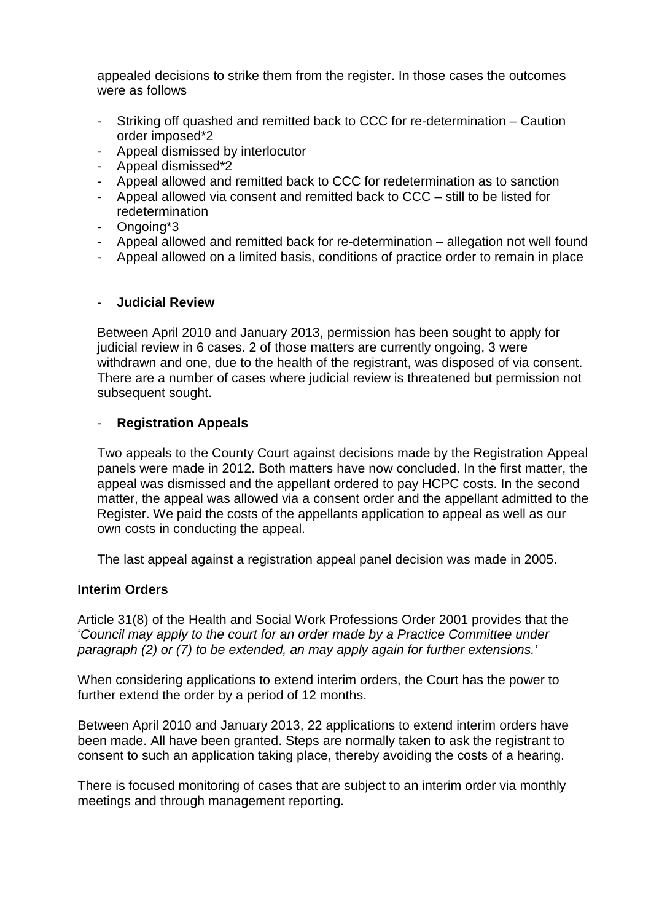appealed decisions to strike them from the register. In those cases the outcomes were as follows

- Striking off quashed and remitted back to CCC for re-determination Caution order imposed\*2
- Appeal dismissed by interlocutor
- Appeal dismissed\*2
- Appeal allowed and remitted back to CCC for redetermination as to sanction
- Appeal allowed via consent and remitted back to CCC still to be listed for redetermination
- Ongoing\*3
- Appeal allowed and remitted back for re-determination allegation not well found
- Appeal allowed on a limited basis, conditions of practice order to remain in place

#### - **Judicial Review**

Between April 2010 and January 2013, permission has been sought to apply for judicial review in 6 cases. 2 of those matters are currently ongoing, 3 were withdrawn and one, due to the health of the registrant, was disposed of via consent. There are a number of cases where judicial review is threatened but permission not subsequent sought.

#### - **Registration Appeals**

Two appeals to the County Court against decisions made by the Registration Appeal panels were made in 2012. Both matters have now concluded. In the first matter, the appeal was dismissed and the appellant ordered to pay HCPC costs. In the second matter, the appeal was allowed via a consent order and the appellant admitted to the Register. We paid the costs of the appellants application to appeal as well as our own costs in conducting the appeal.

The last appeal against a registration appeal panel decision was made in 2005.

#### **Interim Orders**

Article 31(8) of the Health and Social Work Professions Order 2001 provides that the '*Council may apply to the court for an order made by a Practice Committee under paragraph (2) or (7) to be extended, an may apply again for further extensions.'*

When considering applications to extend interim orders, the Court has the power to further extend the order by a period of 12 months.

Between April 2010 and January 2013, 22 applications to extend interim orders have been made. All have been granted. Steps are normally taken to ask the registrant to consent to such an application taking place, thereby avoiding the costs of a hearing.

There is focused monitoring of cases that are subject to an interim order via monthly meetings and through management reporting.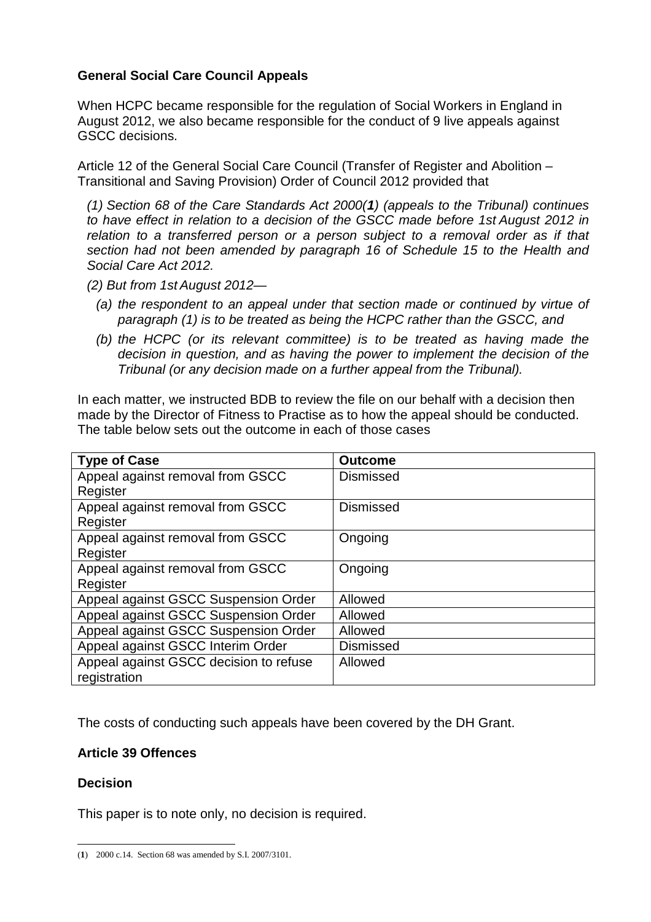# **General Social Care Council Appeals**

When HCPC became responsible for the regulation of Social Workers in England in August 2012, we also became responsible for the conduct of 9 live appeals against GSCC decisions.

Article 12 of the General Social Care Council (Transfer of Register and Abolition – Transitional and Saving Provision) Order of Council 2012 provided that

*(1) Section 68 of the Care Standards Act 2000(1) (appeals to the Tribunal) continues to have effect in relation to a decision of the GSCC made before 1st August 2012 in*  relation to a transferred person or a person subject to a removal order as if that *section had not been amended by paragraph 16 of Schedule 15 to the Health and Social Care Act 2012.*

- *(2) But from 1st August 2012—*
	- *(a) the respondent to an appeal under that section made or continued by virtue of paragraph (1) is to be treated as being the HCPC rather than the GSCC, and*
	- *(b) the HCPC (or its relevant committee) is to be treated as having made the decision in question, and as having the power to implement the decision of the Tribunal (or any decision made on a further appeal from the Tribunal).*

In each matter, we instructed BDB to review the file on our behalf with a decision then made by the Director of Fitness to Practise as to how the appeal should be conducted. The table below sets out the outcome in each of those cases

| <b>Type of Case</b>                    | <b>Outcome</b>   |
|----------------------------------------|------------------|
| Appeal against removal from GSCC       | <b>Dismissed</b> |
| Register                               |                  |
| Appeal against removal from GSCC       | <b>Dismissed</b> |
| Register                               |                  |
| Appeal against removal from GSCC       | Ongoing          |
| Register                               |                  |
| Appeal against removal from GSCC       | Ongoing          |
| Register                               |                  |
| Appeal against GSCC Suspension Order   | Allowed          |
| Appeal against GSCC Suspension Order   | Allowed          |
| Appeal against GSCC Suspension Order   | Allowed          |
| Appeal against GSCC Interim Order      | <b>Dismissed</b> |
| Appeal against GSCC decision to refuse | Allowed          |
| registration                           |                  |

The costs of conducting such appeals have been covered by the DH Grant.

# **Article 39 Offences**

# **Decision**

This paper is to note only, no decision is required.

(**1**) 2000 c.14. Section 68 was amended by S.I. 2007/3101.